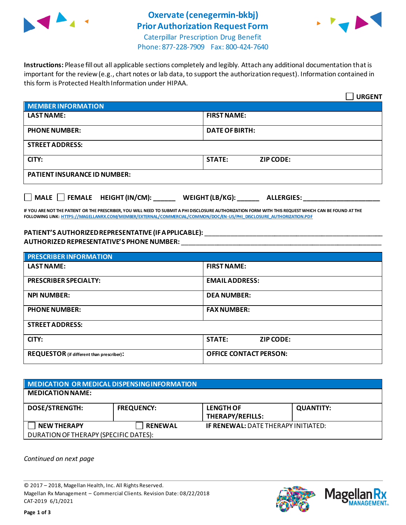

## **Oxervate (cenegermin-bkbj) Prior Authorization Request Form**



Caterpillar Prescription Drug Benefit Phone: 877-228-7909 Fax: 800-424-7640

**Instructions:** Please fill out all applicable sections completely and legibly. Attach any additional documentation that is important for the review (e.g., chart notes or lab data, to support the authorization request). Information contained in this form is Protected Health Information under HIPAA.

|                                                                            | <b>URGENT</b>                     |  |  |
|----------------------------------------------------------------------------|-----------------------------------|--|--|
| <b>MEMBER INFORMATION</b>                                                  |                                   |  |  |
| <b>LAST NAME:</b>                                                          | <b>FIRST NAME:</b>                |  |  |
| <b>PHONE NUMBER:</b>                                                       | <b>DATE OF BIRTH:</b>             |  |  |
| <b>STREET ADDRESS:</b>                                                     |                                   |  |  |
| CITY:                                                                      | <b>STATE:</b><br><b>ZIP CODE:</b> |  |  |
| <b>PATIENT INSURANCE ID NUMBER:</b>                                        |                                   |  |  |
| MALE $\Box$ FEMALE HEIGHT (IN/CM):<br>WEIGHT (LB/KG):<br><b>ALLERGIES:</b> |                                   |  |  |

**IF YOU ARE NOT THE PATIENT OR THE PRESCRIBER, YOU WILL NEED TO SUBMIT A PHI DISCLOSURE AUTHORIZATION FORM WITH THIS REQUEST WHICH CAN BE FOUND AT THE FOLLOWING LINK[: HTTPS://MAGELLANRX.COM/MEMBER/EXTERNAL/COMMERCIAL/COMMON/DOC/EN-US/PHI\\_DISCLOSURE\\_AUTHORIZATION.PDF](https://magellanrx.com/member/external/commercial/common/doc/en-us/PHI_Disclosure_Authorization.pdf)**

## **PATIENT'S AUTHORIZED REPRESENTATIVE (IF APPLICABLE):** \_\_\_\_\_\_\_\_\_\_\_\_\_\_\_\_\_\_\_\_\_\_\_\_\_\_\_\_\_\_\_\_\_\_\_\_\_\_\_\_\_\_\_\_\_\_\_\_\_ **AUTHORIZED REPRESENTATIVE'S PHONE NUMBER:** \_\_\_\_\_\_\_\_\_\_\_\_\_\_\_\_\_\_\_\_\_\_\_\_\_\_\_\_\_\_\_\_\_\_\_\_\_\_\_\_\_\_\_\_\_\_\_\_\_\_\_\_\_\_\_

| <b>PRESCRIBER INFORMATION</b>             |                               |  |
|-------------------------------------------|-------------------------------|--|
| <b>LAST NAME:</b>                         | <b>FIRST NAME:</b>            |  |
| <b>PRESCRIBER SPECIALTY:</b>              | <b>EMAIL ADDRESS:</b>         |  |
| <b>NPI NUMBER:</b>                        | <b>DEA NUMBER:</b>            |  |
| <b>PHONE NUMBER:</b>                      | <b>FAX NUMBER:</b>            |  |
| <b>STREET ADDRESS:</b>                    |                               |  |
| CITY:                                     | <b>STATE:</b><br>ZIP CODE:    |  |
| REQUESTOR (if different than prescriber): | <b>OFFICE CONTACT PERSON:</b> |  |

| <b>MEDICATION OR MEDICAL DISPENSING INFORMATION</b> |                   |                                            |                  |  |  |
|-----------------------------------------------------|-------------------|--------------------------------------------|------------------|--|--|
| <b>MEDICATION NAME:</b>                             |                   |                                            |                  |  |  |
| <b>DOSE/STRENGTH:</b>                               | <b>FREQUENCY:</b> | <b>LENGTH OF</b><br>THERAPY/REFILLS:       | <b>QUANTITY:</b> |  |  |
| <b>NEW THERAPY</b>                                  | <b>RENEWAL</b>    | <b>IF RENEWAL: DATE THERAPY INITIATED:</b> |                  |  |  |
| DURATION OF THERAPY (SPECIFIC DATES):               |                   |                                            |                  |  |  |

*Continued on next page*

© 2017 – 2018, Magellan Health, Inc. All Rights Reserved. Magellan Rx Management – Commercial Clients. Revision Date: 08/22/2018 CAT-2019 6/1/2021



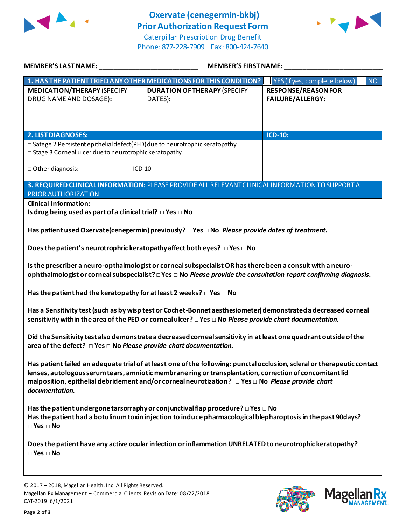

## **Oxervate (cenegermin-bkbj) Prior Authorization Request Form**

Caterpillar Prescription Drug Benefit Phone: 877-228-7909 Fax: 800-424-7640



| MEMBER'S LAST NAME: NAME AND A SERIES AND A SERIES OF STREET AND A STREET AND A STREET AND A STREET AND A STRE                                                                                                                                                                                                                                              | <b>MEMBER'S FIRST NAME:</b>                                                                                      |                                                       |  |  |
|-------------------------------------------------------------------------------------------------------------------------------------------------------------------------------------------------------------------------------------------------------------------------------------------------------------------------------------------------------------|------------------------------------------------------------------------------------------------------------------|-------------------------------------------------------|--|--|
|                                                                                                                                                                                                                                                                                                                                                             | 1. HAS THE PATIENT TRIED ANY OTHER MEDICATIONS FOR THIS CONDITION? $\Box$ YES (if yes, complete below) $\Box$ NO |                                                       |  |  |
| <b>MEDICATION/THERAPY (SPECIFY</b><br>DRUG NAME AND DOSAGE):                                                                                                                                                                                                                                                                                                | <b>DURATION OF THERAPY (SPECIFY</b><br>DATES):                                                                   | <b>RESPONSE/REASON FOR</b><br><b>FAILURE/ALLERGY:</b> |  |  |
| <b>2. LIST DIAGNOSES:</b>                                                                                                                                                                                                                                                                                                                                   |                                                                                                                  | <b>ICD-10:</b>                                        |  |  |
| □ Satege 2 Persistent epithelial defect(PED) due to neurotrophic keratopathy<br>□ Stage 3 Corneal ulcer due to neurotrophic keratopathy                                                                                                                                                                                                                     |                                                                                                                  |                                                       |  |  |
| □ Other diagnosis: ___________________ICD-10___________________________________                                                                                                                                                                                                                                                                             |                                                                                                                  |                                                       |  |  |
| PRIOR AUTHORIZATION.                                                                                                                                                                                                                                                                                                                                        | 3. REQUIRED CLINICAL INFORMATION: PLEASE PROVIDE ALL RELEVANT CLINICAL INFORMATION TO SUPPORT A                  |                                                       |  |  |
| <b>Clinical Information:</b><br>Is drug being used as part of a clinical trial? $\Box$ Yes $\Box$ No                                                                                                                                                                                                                                                        |                                                                                                                  |                                                       |  |  |
|                                                                                                                                                                                                                                                                                                                                                             | Has patient used Oxervate (cenegermin) previously? $\Box$ Yes $\Box$ No Please provide dates of treatment.       |                                                       |  |  |
| Does the patient's neurotrophric keratopathy affect both eyes? $\Box$ Yes $\Box$ No                                                                                                                                                                                                                                                                         |                                                                                                                  |                                                       |  |  |
| Is the prescriber a neuro-opthalmologist or corneal subspecialist OR has there been a consult with a neuro-<br>ophthalmologist or corneal subspecialist? □ Yes □ No Please provide the consultation report confirming diagnosis.                                                                                                                            |                                                                                                                  |                                                       |  |  |
| Has the patient had the keratopathy for at least 2 weeks? $\Box$ Yes $\Box$ No                                                                                                                                                                                                                                                                              |                                                                                                                  |                                                       |  |  |
| Has a Sensitivity test (such as by wisp test or Cochet-Bonnet aesthesiometer) demonstrated a decreased corneal<br>sensitivity within the area of the PED or corneal ulcer? $\Box$ Yes $\Box$ No Please provide chart documentation.                                                                                                                         |                                                                                                                  |                                                       |  |  |
| Did the Sensitivity test also demonstrate a decreased corneal sensitivity in at least one quadrant outside of the<br>area of the defect? $\Box$ Yes $\Box$ No Please provide chart documentation.                                                                                                                                                           |                                                                                                                  |                                                       |  |  |
| Has patient failed an adequate trial of at least one of the following: punctal occlusion, scleral or therapeutic contact<br>lenses, autologous serum tears, amniotic membrane ring or transplantation, correction of concomitant lid<br>malposition, epithelial debridement and/or corneal neurotization? □ Yes □ No Please provide chart<br>documentation. |                                                                                                                  |                                                       |  |  |
| Has the patient undergone tarsorraphy or conjunctival flap procedure? $\square$ Yes $\square$ No<br>Has the patient had a botulinum toxin injection to induce pharmacological blepharoptosis in the past 90days?<br>$\square$ Yes $\square$ No                                                                                                              |                                                                                                                  |                                                       |  |  |
| Does the patient have any active ocular infection or inflammation UNRELATED to neurotrophic keratopathy?<br>$\square$ Yes $\square$ No                                                                                                                                                                                                                      |                                                                                                                  |                                                       |  |  |
|                                                                                                                                                                                                                                                                                                                                                             |                                                                                                                  |                                                       |  |  |
|                                                                                                                                                                                                                                                                                                                                                             |                                                                                                                  |                                                       |  |  |

© 2017 – 2018, Magellan Health, Inc. All Rights Reserved. Magellan Rx Management – Commercial Clients. Revision Date: 08/22/2018 CAT-2019 6/1/2021